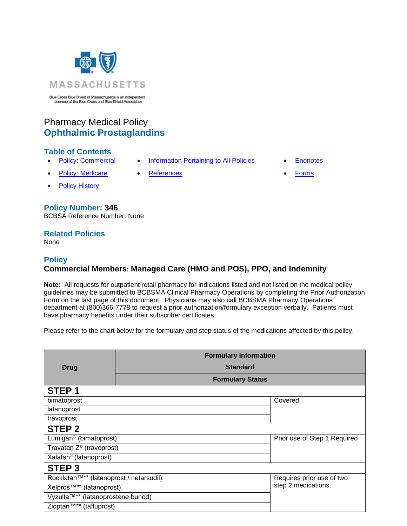

Blue Cross Blue Shield of Massachusetts is an Independent Licensee of the Blue Cross and Blue Shield Association

# Pharmacy Medical Policy **Ophthalmic Prostaglandins**

## **Table of Contents**

- **[Policy: Commercial](#page-0-0) [Information Pertaining to All Policies](#page-1-0) [Endnotes](#page-2-0)**
- [Policy: Medicare](#page-0-0) [References](#page-2-1) **[Forms](http://www.bluecrossma.org/medical-policies/sites/g/files/csphws2091/files/acquiadam-assets/023%20E%20Form%20medication%20prior%20auth%20instruction%20prn.pdf)**
- **[Policy History](#page-1-1)**

# **Policy Number: 346**

BCBSA Reference Number: None

# **Related Policies**

<span id="page-0-0"></span>None

## **Policy Commercial Members: Managed Care (HMO and POS), PPO, and Indemnity**

**Note:** All requests for outpatient retail pharmacy for indications listed and not listed on the medical policy guidelines may be submitted to BCBSMA Clinical Pharmacy Operations by completing the Prior Authorization Form on the last page of this document. Physicians may also call BCBSMA Pharmacy Operations department at (800)366-7778 to request a prior authorization/formulary exception verbally. Patients must have pharmacy benefits under their subscriber certificates.

Please refer to the chart below for the formulary and step status of the medications affected by this policy.

|                                      | <b>Formulary Information</b>                                         |                              |  |
|--------------------------------------|----------------------------------------------------------------------|------------------------------|--|
| <b>Drug</b>                          | <b>Standard</b>                                                      |                              |  |
|                                      | <b>Formulary Status</b>                                              |                              |  |
| STEP <sub>1</sub>                    |                                                                      |                              |  |
| bimatoprost                          |                                                                      | Covered                      |  |
| latanoprost                          |                                                                      |                              |  |
| travoprost                           |                                                                      |                              |  |
| STEP <sub>2</sub>                    |                                                                      |                              |  |
| Lumigan <sup>®</sup> (bimatoprost)   |                                                                      | Prior use of Step 1 Required |  |
| Travatan Z <sup>®</sup> (travoprost) |                                                                      |                              |  |
| Xalatan <sup>®</sup> (latanoprost)   |                                                                      |                              |  |
| STEP <sub>3</sub>                    |                                                                      |                              |  |
|                                      | Rocklatan™** (latanoprost / netarsudil)<br>Requires prior use of two |                              |  |
| Xelpros <sup>™**</sup> (latanoprost) |                                                                      | step 2 medications.          |  |
| Vyzulta™** (latanoprostene bunod)    |                                                                      |                              |  |
| Zioptan™** (tafluprost)              |                                                                      |                              |  |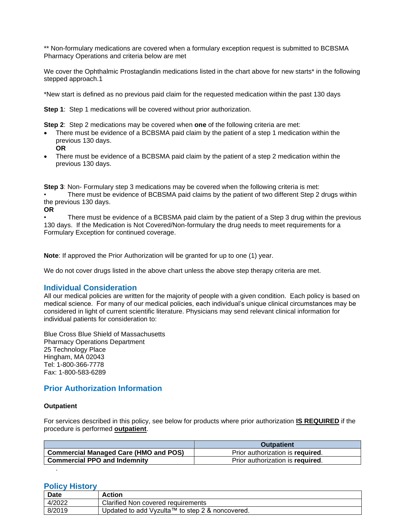\*\* Non-formulary medications are covered when a formulary exception request is submitted to BCBSMA Pharmacy Operations and criteria below are met

We cover the Ophthalmic Prostaglandin medications listed in the chart above for new starts<sup>\*</sup> in the following stepped approach.1

\*New start is defined as no previous paid claim for the requested medication within the past 130 days

**Step 1**: Step 1 medications will be covered without prior authorization.

**Step 2**: Step 2 medications may be covered when **one** of the following criteria are met:

- There must be evidence of a BCBSMA paid claim by the patient of a step 1 medication within the previous 130 days. **OR**
- There must be evidence of a BCBSMA paid claim by the patient of a step 2 medication within the previous 130 days.

**Step 3**: Non- Formulary step 3 medications may be covered when the following criteria is met: There must be evidence of BCBSMA paid claims by the patient of two different Step 2 drugs within the previous 130 days.

**OR**

There must be evidence of a BCBSMA paid claim by the patient of a Step 3 drug within the previous 130 days. If the Medication is Not Covered/Non-formulary the drug needs to meet requirements for a Formulary Exception for continued coverage.

**Note**: If approved the Prior Authorization will be granted for up to one (1) year.

We do not cover drugs listed in the above chart unless the above step therapy criteria are met.

#### <span id="page-1-0"></span>**Individual Consideration**

All our medical policies are written for the majority of people with a given condition. Each policy is based on medical science. For many of our medical policies, each individual's unique clinical circumstances may be considered in light of current scientific literature. Physicians may send relevant clinical information for individual patients for consideration to:

Blue Cross Blue Shield of Massachusetts Pharmacy Operations Department 25 Technology Place Hingham, MA 02043 Tel: 1-800-366-7778 Fax: 1-800-583-6289

#### **Prior Authorization Information**

#### **Outpatient**

.

For services described in this policy, see below for products where prior authorization **IS REQUIRED** if the procedure is performed **outpatient**.

|                                              | <b>Outpatient</b>                |
|----------------------------------------------|----------------------------------|
| <b>Commercial Managed Care (HMO and POS)</b> | Prior authorization is required. |
| <b>Commercial PPO and Indemnity</b>          | Prior authorization is required. |

#### <span id="page-1-1"></span>**Policy History**

| Date   | Action                                          |
|--------|-------------------------------------------------|
| 4/2022 | Clarified Non covered requirements              |
| 8/2019 | Updated to add Vyzulta™ to step 2 & noncovered. |